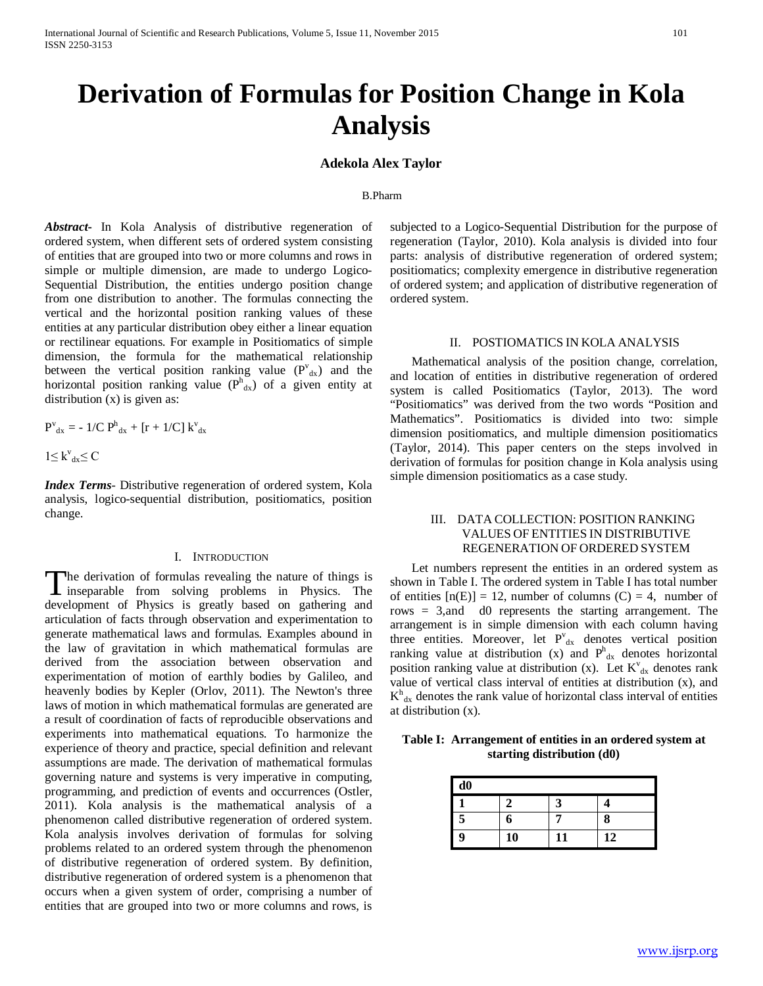# **Derivation of Formulas for Position Change in Kola Analysis**

## **Adekola Alex Taylor**

#### B.Pharm

*Abstract***-** In Kola Analysis of distributive regeneration of ordered system, when different sets of ordered system consisting of entities that are grouped into two or more columns and rows in simple or multiple dimension, are made to undergo Logico-Sequential Distribution, the entities undergo position change from one distribution to another. The formulas connecting the vertical and the horizontal position ranking values of these entities at any particular distribution obey either a linear equation or rectilinear equations. For example in Positiomatics of simple dimension, the formula for the mathematical relationship between the vertical position ranking value  $(P^v_{dx})$  and the horizontal position ranking value  $(P_{dx}^{h})$  of a given entity at distribution  $(x)$  is given as:

$$
P^{\rm v}_{\rm dx} = -1/C P^{\rm h}_{\rm dx} + [r + 1/C] K^{\rm v}_{\rm dx}
$$

 $1 \leq k^{\nu}_{dx} \leq C$ 

*Index Terms*- Distributive regeneration of ordered system, Kola analysis, logico-sequential distribution, positiomatics, position change.

### I. INTRODUCTION

The derivation of formulas revealing the nature of things is<br>
in sphysics. The integration of the solving problems in Physics. The **L** inseparable from solving problems in Physics. The development of Physics is greatly based on gathering and articulation of facts through observation and experimentation to generate mathematical laws and formulas. Examples abound in the law of gravitation in which mathematical formulas are derived from the association between observation and experimentation of motion of earthly bodies by Galileo, and heavenly bodies by Kepler (Orlov, 2011). The Newton's three laws of motion in which mathematical formulas are generated are a result of coordination of facts of reproducible observations and experiments into mathematical equations. To harmonize the experience of theory and practice, special definition and relevant assumptions are made. The derivation of mathematical formulas governing nature and systems is very imperative in computing, programming, and prediction of events and occurrences (Ostler, 2011). Kola analysis is the mathematical analysis of a phenomenon called distributive regeneration of ordered system. Kola analysis involves derivation of formulas for solving problems related to an ordered system through the phenomenon of distributive regeneration of ordered system. By definition, distributive regeneration of ordered system is a phenomenon that occurs when a given system of order, comprising a number of entities that are grouped into two or more columns and rows, is

subjected to a Logico-Sequential Distribution for the purpose of regeneration (Taylor, 2010). Kola analysis is divided into four parts: analysis of distributive regeneration of ordered system; positiomatics; complexity emergence in distributive regeneration of ordered system; and application of distributive regeneration of ordered system.

## II. POSTIOMATICS IN KOLA ANALYSIS

 Mathematical analysis of the position change, correlation, and location of entities in distributive regeneration of ordered system is called Positiomatics (Taylor, 2013). The word "Positiomatics" was derived from the two words "Position and Mathematics". Positiomatics is divided into two: simple dimension positiomatics, and multiple dimension positiomatics (Taylor, 2014). This paper centers on the steps involved in derivation of formulas for position change in Kola analysis using simple dimension positiomatics as a case study.

## III. DATA COLLECTION: POSITION RANKING VALUES OF ENTITIES IN DISTRIBUTIVE REGENERATION OF ORDERED SYSTEM

 Let numbers represent the entities in an ordered system as shown in Table I. The ordered system in Table I has total number of entities  $[n(E)] = 12$ , number of columns  $(C) = 4$ , number of rows = 3,and d0 represents the starting arrangement. The arrangement is in simple dimension with each column having three entities. Moreover, let  $P_{dx}^{v}$  denotes vertical position ranking value at distribution (x) and  $P<sup>h</sup><sub>dx</sub>$  denotes horizontal position ranking value at distribution (x). Let  $K^{\nu}_{dx}$  denotes rank value of vertical class interval of entities at distribution (x), and  $K<sup>h</sup><sub>dx</sub>$  denotes the rank value of horizontal class interval of entities at distribution (x).

**Table I: Arrangement of entities in an ordered system at starting distribution (d0)**

| d0 |    |    |    |
|----|----|----|----|
|    |    |    | Δ  |
| 5  | 6  |    | 8  |
| 9  | 10 | 11 | 12 |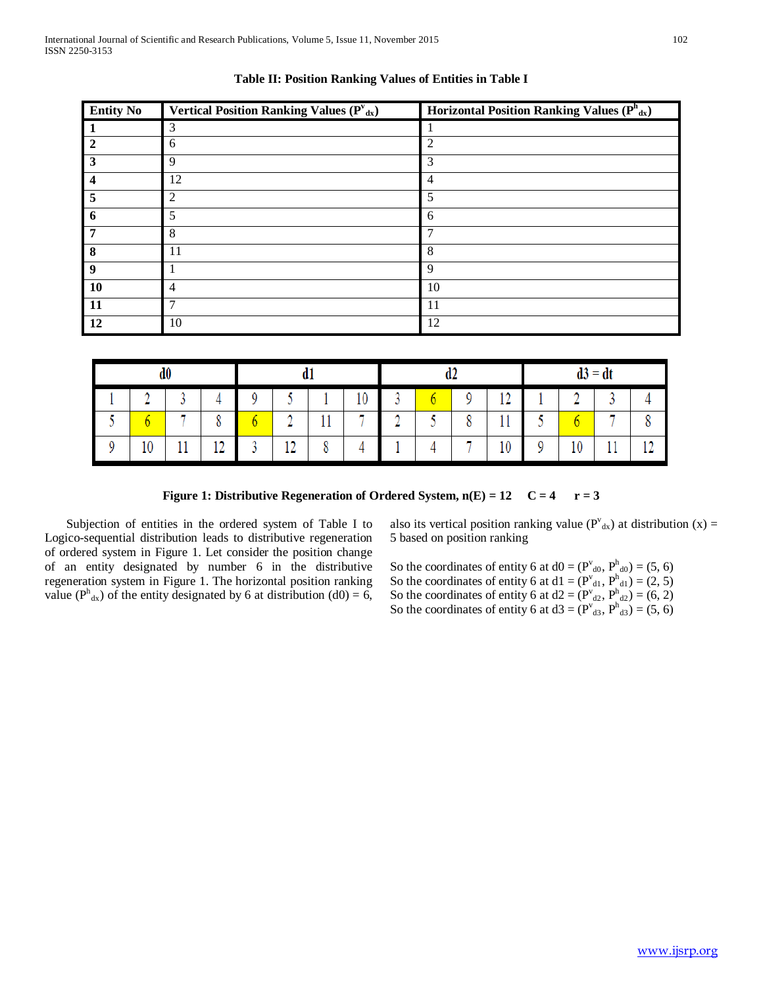| <b>Entity No</b>        | Vertical Position Ranking Values $(P^v_{dx})$ | Horizontal Position Ranking Values $(P^h_{dx})$ |
|-------------------------|-----------------------------------------------|-------------------------------------------------|
|                         | 3                                             |                                                 |
| $\mathbf{2}$            | 6                                             | $\overline{2}$                                  |
| $\overline{\mathbf{3}}$ | $\mathbf Q$                                   | 3                                               |
| $\overline{\mathbf{4}}$ | 12                                            | 4                                               |
| -5                      | $\mathfrak{D}$                                | 5                                               |
| 6                       | 5                                             | 6                                               |
| -7                      | 8                                             | 7                                               |
| 8                       | 11                                            | 8                                               |
| - 9                     |                                               | 9                                               |
| <b>10</b>               | $\overline{4}$                                | 10                                              |
| <b>11</b>               | ⇁                                             | 11                                              |
| 12                      | 10                                            | 12                                              |

**Table II: Position Ranking Values of Entities in Table I**

| d0     |   |                       |             |                  |        |    |        | 14<br>uΖ |   |                       |     | $d3 = dt$ |          |        |  |
|--------|---|-----------------------|-------------|------------------|--------|----|--------|----------|---|-----------------------|-----|-----------|----------|--------|--|
| Δ<br>- |   |                       | 0           |                  |        | 10 |        |          | 0 | 1 <sub>0</sub><br>- 4 |     |           | $\sim$   |        |  |
|        | п | $\circ$<br>٥          |             | $\triangleright$ | 11     | н  | Δ<br>- |          | o | 11<br>11              | فتا |           | п        |        |  |
| 10     | ᅭ | 1 <sub>0</sub><br>- 1 | $\sim$<br>v | 12<br>- 4        | O<br>٥ |    |        |          | Ħ | 10                    | 0   | 10        | -11<br>ᆠ | 10<br> |  |

**Figure 1: Distributive Regeneration of Ordered System,**  $n(E) = 12$  **C = 4 r = 3** 

 Subjection of entities in the ordered system of Table I to Logico-sequential distribution leads to distributive regeneration of ordered system in Figure 1. Let consider the position change of an entity designated by number 6 in the distributive regeneration system in Figure 1. The horizontal position ranking value ( $P<sup>h</sup><sub>dx</sub>$ ) of the entity designated by 6 at distribution (d0) = 6,

also its vertical position ranking value ( $P^{\nu}_{\alpha}$ ) at distribution (x) = 5 based on position ranking

So the coordinates of entity 6 at  $d0 = (P_{d0}^{\nu}, P_{d0}^{\nu}) = (5, 6)$ So the coordinates of entity 6 at  $d1 = (P^{v}_{d1}, P^{h}_{d1}) = (2, 5)$ So the coordinates of entity 6 at  $d2 = (P^{v}_{d2}, P^{h}_{d2}) = (6, 2)$ So the coordinates of entity 6 at  $d3 = (P^{v}_{d3}, P^{h}_{d3}) = (5, 6)$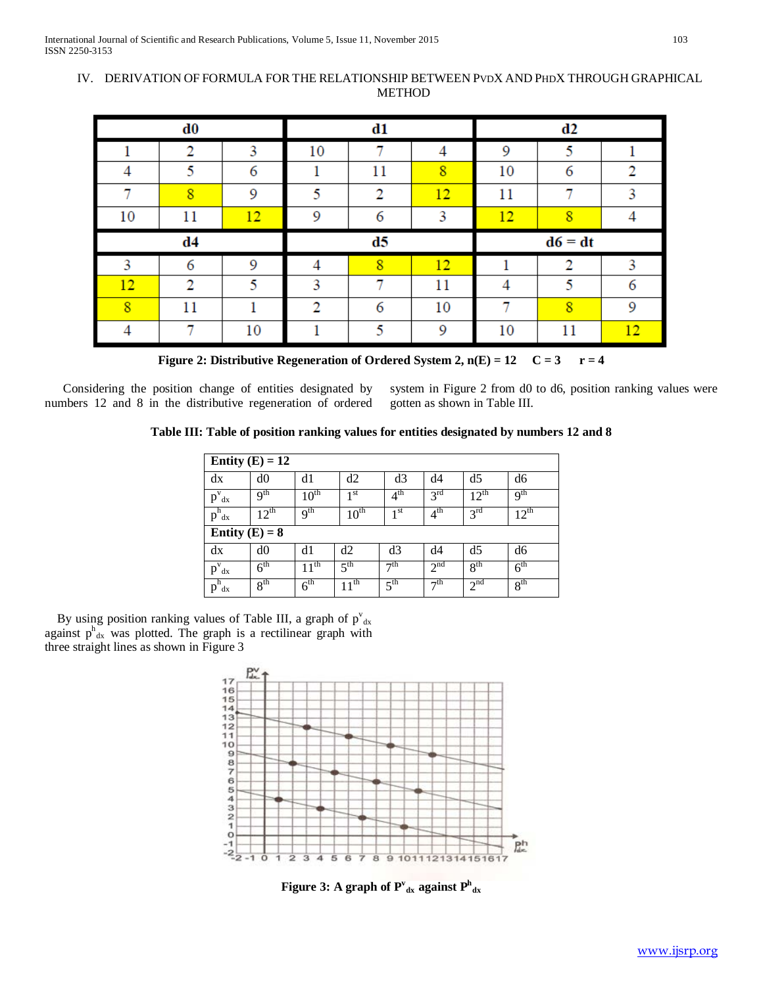## IV. DERIVATION OF FORMULA FORTHE RELATIONSHIP BETWEEN PVDX AND PHDX THROUGH GRAPHICAL METHOD

|    | $\bf d0$       |    |               | d1 |    |    | d2        |   |
|----|----------------|----|---------------|----|----|----|-----------|---|
|    | າ              | 3  | 10            |    |    | 9  | ς         |   |
| 4  | 5              | 6  |               | 11 | 8  | 10 | 6         | ≘ |
|    | 8              | 9  |               | 2  | 12 | 11 |           |   |
| 10 | 11             | 12 | 9             | 6  | 3  | 12 | я         |   |
|    |                |    |               |    |    |    |           |   |
|    | d4             |    |               | d5 |    |    | $d6 = dt$ |   |
| 3  | 6              | 9  |               | 8  | 12 |    | 2         | 3 |
| 12 | $\overline{2}$ | 5  | 3             |    | 11 |    | к         |   |
| 8  | 11             |    | $\mathcal{D}$ | 6  | 10 |    | 8         | 9 |

**Figure 2: Distributive Regeneration of Ordered System 2,**  $n(E) = 12$  $C = 3$  $r = 4$ 

 Considering the position change of entities designated by numbers 12 and 8 in the distributive regeneration of ordered system in Figure 2 from d0 to d6, position ranking values were gotten as shown in Table III.

**Table III: Table of position ranking values for entities designated by numbers 12 and 8**

|                                     | Entity $(E) = 12$ |                  |                  |                 |                 |                 |                  |
|-------------------------------------|-------------------|------------------|------------------|-----------------|-----------------|-----------------|------------------|
| dx                                  | d0                | d1               | d2               | d3              | d4              | d5              | d6               |
| $\overline{p}^{\overline{v}}$<br>dx | $q^{th}$          | $10^{\text{th}}$ | 1 <sup>st</sup>  | 4 <sup>th</sup> | $3^{\text{rd}}$ | $12^{th}$       | q <sup>th</sup>  |
| $p^h$<br>dx                         | $12^{\text{th}}$  | Q <sup>th</sup>  | $10^{\text{th}}$ | 1 <sup>st</sup> | 4 <sup>th</sup> | 3 <sup>rd</sup> | $12^{\text{th}}$ |
| Entity $(E) = 8$                    |                   |                  |                  |                 |                 |                 |                  |
| dx                                  | d0                | d1               | d2               | d3              | d4              | d5              | d6               |
| $\overline{p}^{\overline{v}}$<br>dx | $6^{\text{th}}$   | $11^{\text{th}}$ | 5 <sup>th</sup>  | $\neg$ th       | 2 <sup>nd</sup> | 8 <sup>th</sup> | 6 <sup>th</sup>  |
| h<br>p<br>dx                        | 8 <sup>th</sup>   | $6^{\text{th}}$  | $11^{\text{th}}$ | 5 <sup>th</sup> | $\neg$ th       | 2 <sup>nd</sup> | 8 <sup>th</sup>  |

By using position ranking values of Table III, a graph of  $p^{\nu}_{dx}$ against  $p_{dx}^{h}$  was plotted. The graph is a rectilinear graph with three straight lines as shown in Figure 3



Figure 3: A graph of  $\mathbf{P^v}_{\text{dx}}$  against  $\mathbf{P^h}_{\text{dx}}$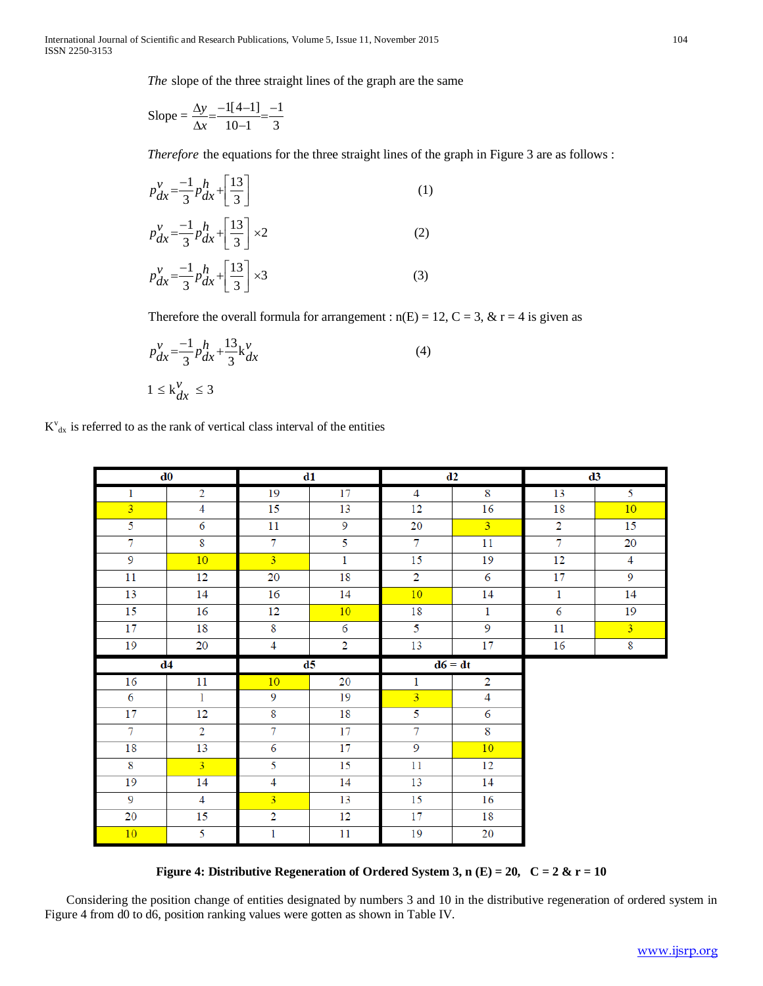The slope of the three straight lines of the graph are the same

Slope = 
$$
\frac{\Delta y}{\Delta x} = \frac{-1[4-1]}{10-1} = \frac{-1}{3}
$$

Therefore the equations for the three straight lines of the graph in Figure 3 are as follows :

$$
p_{dx}^{v} = \frac{-1}{3} p_{dx}^{h} + \left[\frac{13}{3}\right]
$$
\n
$$
p_{dx}^{v} = \frac{-1}{3} p_{dx}^{h} + \left[\frac{13}{3}\right] \times 2
$$
\n
$$
p_{dx}^{v} = \frac{-1}{3} p_{dx}^{h} + \left[\frac{13}{3}\right] \times 3
$$
\n(3)

Therefore the overall formula for arrangement :  $n(E) = 12$ ,  $C = 3$ ,  $& r = 4$  is given as

$$
p_{dx}^{v} = \frac{-1}{3} p_{dx}^{h} + \frac{13}{3} k_{dx}^{v}
$$
  

$$
1 \le k_{dx}^{v} \le 3
$$
 (4)

|                         | d0             |                   | d1             |                | d2             |                | d3             |
|-------------------------|----------------|-------------------|----------------|----------------|----------------|----------------|----------------|
| $\mathbf{1}$            | $\overline{2}$ | 19                | 17             | $\overline{4}$ | 8              | 13             | 5              |
| $\overline{\mathbf{3}}$ | 4              | 15                | 13             | 12             | 16             | 18             | 10             |
| $\overline{5}$          | $\overline{6}$ | 11                | $\overline{9}$ | 20             | $\overline{3}$ | $\overline{2}$ | 15             |
| $\overline{7}$          | $\overline{8}$ | $\overline{7}$    | $\overline{5}$ | $\overline{7}$ | 11             | $\overline{7}$ | 20             |
| $\overline{9}$          | 10             | $\overline{3}$    | $\mathbf{1}$   | 15             | 19             | 12             | $\overline{4}$ |
| 11                      | 12             | 20                | 18             | $\overline{2}$ | 6              | 17             | $\overline{9}$ |
| 13                      | 14             | 16                | 14             | 10             | 14             | $\overline{1}$ | 14             |
| 15                      | 16             | 12                | 10             | 18             | 1              | 6              | 19             |
| 17                      | 18             | $\overline{8}$    | $\overline{6}$ | $\overline{5}$ | $\overline{9}$ | 11             | $\overline{3}$ |
| 19                      | 20             | $\overline{4}$    | $\overline{2}$ | 13             | 17             | 16             | $\overline{8}$ |
|                         |                |                   |                |                |                |                |                |
|                         | d4             |                   | d5             |                | $d6 = dt$      |                |                |
| 16                      | 11             | 10                | 20             | $\mathbf{1}$   | $\overline{2}$ |                |                |
| $\overline{6}$          | $\mathbf 1$    | 9                 | 19             | $\overline{3}$ | $\overline{4}$ |                |                |
| 17                      | 12             | $\overline{8}$    | 18             | 5              | 6              |                |                |
| $\overline{7}$          | $\overline{2}$ | $\overline{\tau}$ | 17             | $\overline{7}$ | $\overline{8}$ |                |                |
| 18                      | 13             | $\overline{6}$    | 17             | $\overline{9}$ | 10             |                |                |
| 8                       | $\overline{3}$ | 5                 | 15             | 11             | 12             |                |                |
| $\overline{19}$         | 14             | $\overline{4}$    | 14             | 13             | 14             |                |                |
| $\overline{9}$          | $\overline{4}$ | $\overline{3}$    | 13             | 15             | 16             |                |                |
| 20                      | 15             | $\overline{2}$    | 12             | 17             | 18             |                |                |

**Figure 4: Distributive Regeneration of Ordered System 3, n (E) = 20, C = 2 & r = 10**

 Considering the position change of entities designated by numbers 3 and 10 in the distributive regeneration of ordered system in Figure 4 from d0 to d6, position ranking values were gotten as shown in Table IV.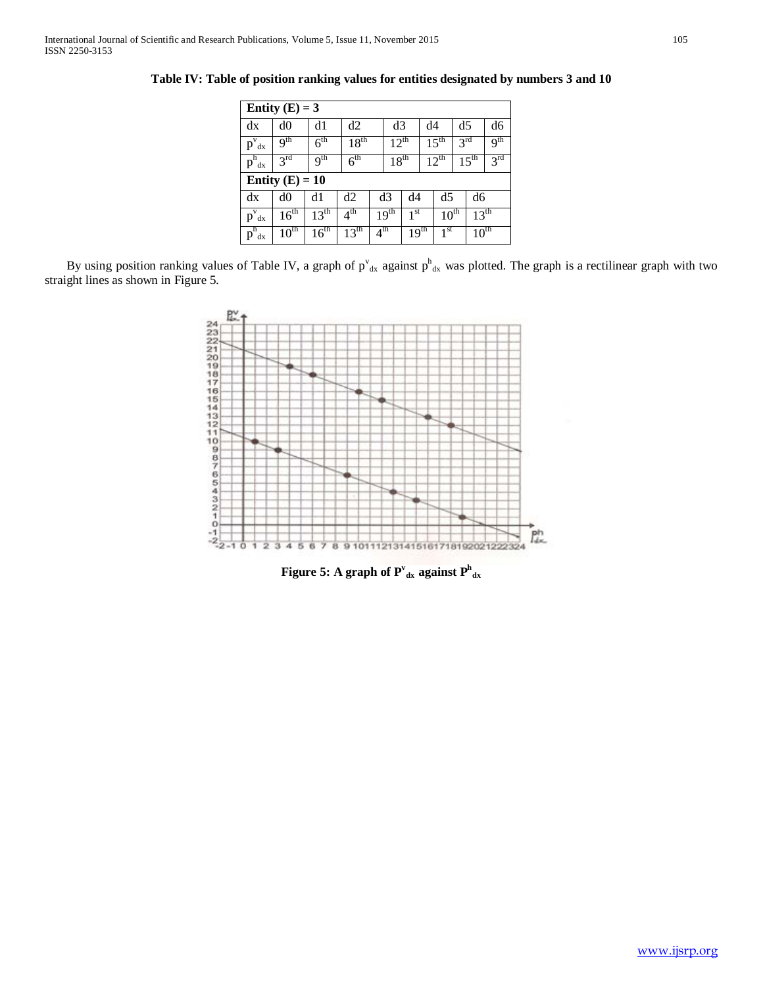|                                   | Entity $(E) = 3$  |                  |                  |                 |                  |                  |    |                  |                 |                  |                 |
|-----------------------------------|-------------------|------------------|------------------|-----------------|------------------|------------------|----|------------------|-----------------|------------------|-----------------|
| dx                                | d0                | d1               | d2               |                 | d3               |                  | d4 |                  | d5              |                  | d6              |
| $p^{\mathrm{v}}_{\mathrm{dx}}$    | 9 <sup>th</sup>   | 6 <sup>th</sup>  | $18^{\text{th}}$ |                 | $12^{th}$        |                  |    | $15^{\text{th}}$ | 3 <sup>rd</sup> |                  | 9 <sup>th</sup> |
| $p^h_{dx}$                        | 3 <sup>rd</sup>   | 9 <sup>th</sup>  | 6 <sup>th</sup>  |                 | $18^{\text{th}}$ |                  |    | $12^{th}$        |                 | $15^{\text{th}}$ | 3 <sup>rd</sup> |
|                                   | Entity $(E) = 10$ |                  |                  |                 |                  |                  |    |                  |                 |                  |                 |
| dx                                | d0                | d1               | d2               |                 | d3               | d4               |    | d5               |                 | d6               |                 |
| $\overline{p}^{\mathrm{v}}$<br>dx | 16 <sup>th</sup>  | $13^{\text{th}}$ | $4^{\text{th}}$  |                 | 19 <sup>th</sup> | $1^{st}$         |    | $10^{\text{th}}$ |                 | $13^{\text{th}}$ |                 |
| $p^h$<br>dx                       | $10^{\text{th}}$  | $16^{\text{th}}$ | $13^{\text{th}}$ | 4 <sup>th</sup> |                  | 19 <sup>th</sup> |    | 1 <sup>st</sup>  |                 | $10^{\text{th}}$ |                 |

**Table IV: Table of position ranking values for entities designated by numbers 3 and 10**

By using position ranking values of Table IV, a graph of  $p^{\nu}_{dx}$  against  $p^h_{dx}$  was plotted. The graph is a rectilinear graph with two straight lines as shown in Figure 5.



Figure 5: A graph of  $\mathbf{P^v}_{\text{dx}}$  against  $\mathbf{P^h}_{\text{dx}}$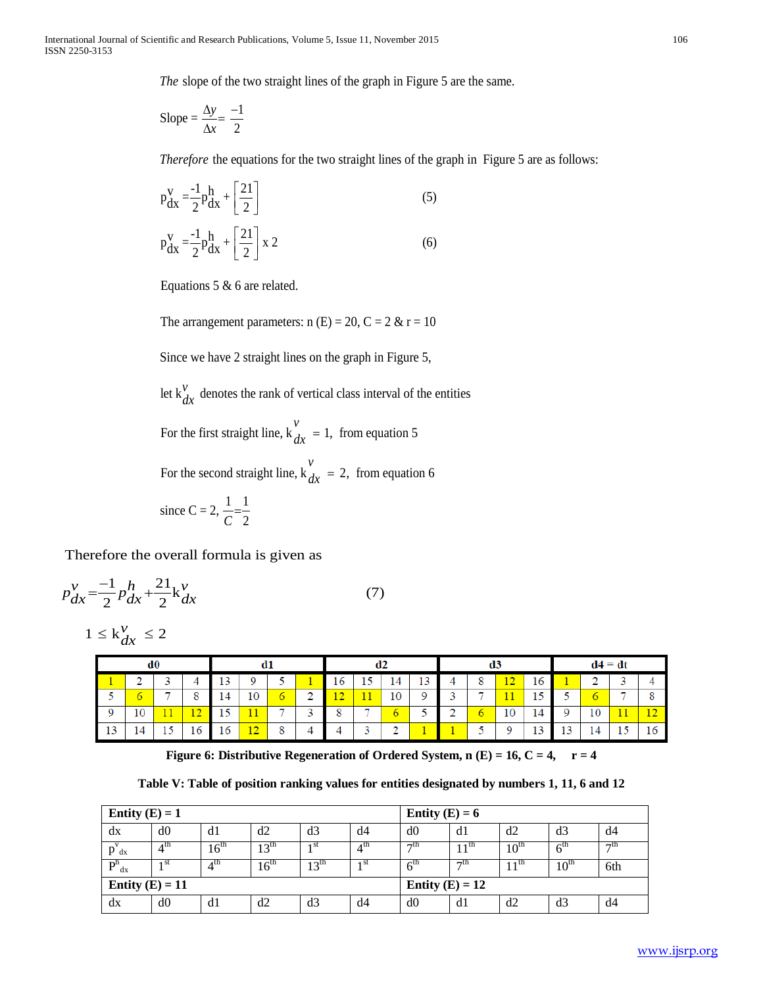*The* slope of the two straight lines of the graph in Figure 5 are the same.

$$
Slope = \frac{\Delta y}{\Delta x} = \frac{-1}{2}
$$

*Therefore* the equations for the two straight lines of the graph in Figure 5 are as follows:

$$
p_{dx}^{V} = \frac{-1}{2} p_{dx}^{h} + \left[\frac{21}{2}\right]
$$
  
\n
$$
p_{dx}^{V} = \frac{-1}{2} p_{dx}^{h} + \left[\frac{21}{2}\right] x 2
$$
\n(5)

Equations 5 & 6 are related.

The arrangement parameters:  $n(E) = 20$ ,  $C = 2$  &  $r = 10$ 

Since we have 2 straight lines on the graph in Figure 5,

let  $k_{dx}^{y}$  denotes the rank of vertical class interval of the entities *dx*

For the first straight line,  $k_{av} = 1$ , from equation 5 *v*  $dx =$ 

For the second straight line,  $k_{dx} = 2$ , from equation 6 *v*  $dx =$ 

since C = 2, 
$$
\frac{1}{C} = \frac{1}{2}
$$

Therefore the overall formula is given as

$$
p_{dx}^{\nu} = \frac{-1}{2} p_{dx}^h + \frac{21}{2} k_{dx}^{\nu}
$$
 (7)

$$
1 \leq \mathrm{k}_{dx}^{\nu} \leq 2
$$

|    | αU |         |   | αı        |   |        |    | az |    |    |        | æ                        |    |         |           | $d4 = dt$ |          |
|----|----|---------|---|-----------|---|--------|----|----|----|----|--------|--------------------------|----|---------|-----------|-----------|----------|
|    |    |         |   |           |   |        | 16 | ⊥◡ | 14 | 10 |        | 8                        | 12 | 16      |           |           |          |
|    |    | $\circ$ |   | 10        | 6 | ◠<br>- | 12 |    | 10 |    |        | $\overline{\phantom{a}}$ | 11 | E       |           |           |          |
| -9 |    | . .     | E | 11        | × | $\sim$ | 8  | -  |    |    | ◠<br>- | $\circ$                  | 10 | 14      |           | 11        | 12<br>-- |
| 13 |    | 16      |   | 1.0<br>26 | 8 |        |    |    | ◠  |    |        | e                        | o  | ാ<br>13 | ר ו<br>13 |           |          |

**Figure 6: Distributive Regeneration of Ordered System, n (E) = 16, C = 4, r = 4** 

**Table V: Table of position ranking values for entities designated by numbers 1, 11, 6 and 12**

| Entity $(E) = 1$  |                 |                  |                  |               |                 | Entity $(E) = 6$  |                 |                  |                  |           |
|-------------------|-----------------|------------------|------------------|---------------|-----------------|-------------------|-----------------|------------------|------------------|-----------|
| dx                | d0              | d1               | d2               | d3            | d4              | d0                | d1              | d2               | d3               | d4        |
| $p_{dx}$          | $4^{\text{th}}$ | $16^{\text{th}}$ | $13^{\text{th}}$ | ı st          | $4^{\text{th}}$ | $\neg$ th         | 1 <sup>th</sup> | $10^{\text{th}}$ | $6^{\text{th}}$  | $\neg$ th |
| $P_{dx}^{h}$      | 1 st            | $4^{\text{th}}$  | 16 <sup>th</sup> | $13^{\rm th}$ | 1 <sup>st</sup> | 6 <sup>tn</sup>   | $\neg$ th       | $11^{\text{th}}$ | $10^{\text{th}}$ | 6th       |
| Entity $(E) = 11$ |                 |                  |                  |               |                 | Entity $(E) = 12$ |                 |                  |                  |           |
| dx                | d0              | d1               | d2               | d3            | d4              | d0                | d1              | d2               | d3               | d4        |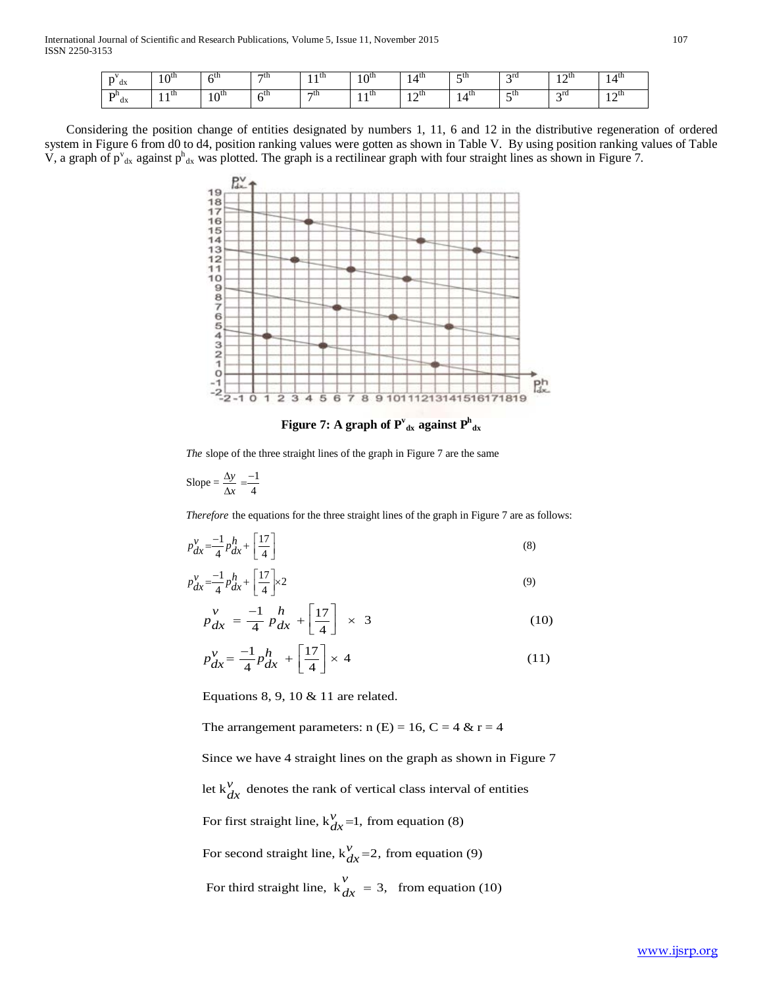| $\mathbf{D}$<br>dx | $1 \wedge$ th<br>1 U | ∕Un              | $\neg$ th | 4 U.<br>. | $\alpha$ th<br>10 | 4 <sup>th</sup><br>14 | $-th$<br>. . | $\sim$ rd | $\sim$ un          | 4 U.<br>14                  |
|--------------------|----------------------|------------------|-----------|-----------|-------------------|-----------------------|--------------|-----------|--------------------|-----------------------------|
| D™<br>dx           | 1 IN<br>. .          | $10^{\text{th}}$ | ∕th       | $\neg$ th | ı th<br>. .       | ∙∧tn<br>. .           | 4th<br>14    | $-th$     | $\gamma$ ra<br>. . | $\sim$ un<br>$\overline{1}$ |

 Considering the position change of entities designated by numbers 1, 11, 6 and 12 in the distributive regeneration of ordered system in Figure 6 from d0 to d4, position ranking values were gotten as shown in Table V. By using position ranking values of Table V, a graph of  $p^{\nu}_{dx}$  against  $p^h_{dx}$  was plotted. The graph is a rectilinear graph with four straight lines as shown in Figure 7.



Figure 7: A graph of  $\mathbf{P^v_{dx}}$  against  $\mathbf{P^h_{dx}}$ 

The slope of the three straight lines of the graph in Figure 7 are the same

$$
Slope = \frac{\Delta y}{\Delta x} = \frac{-1}{4}
$$

*Therefore* the equations for the three straight lines of the graph in Figure 7 are as follows:

$$
p_{dx}^{\nu} = \frac{-1}{4} p_{dx}^h + \left[\frac{17}{4}\right] \tag{8}
$$

$$
p_{dx}^{\nu} = \frac{-1}{4} p_{dx}^h + \left[\frac{17}{4}\right] \times 2 \tag{9}
$$

$$
p_{dx}^{v} = \frac{-1}{4} p_{dx}^{h} + \left[\frac{17}{4}\right] \times 3
$$
 (10)

$$
p_{dx}^{\nu} = \frac{-1}{4} p_{dx}^h + \left[\frac{17}{4}\right] \times 4 \tag{11}
$$

Equations 8, 9, 10 & 11 are related.

The arrangement parameters:  $n(E) = 16$ ,  $C = 4$  &  $r = 4$ 

Since we have 4 straight lines on the graph as shown in Figure 7

let  $k_{dr}^{\nu}$  denotes the rank of vertical class interval of entities *dx*

For first straight line,  $k_{dr}^{\gamma}$ =1, from equation (8)  $\frac{v}{dx}$ 

For second straight line,  $k_{A_r}^{\gamma}$  = 2, from equation (9)  $\frac{v}{dx}$ 

For third straight line,  $k_{dr}^v = 3$ , from equation (10)  $\int_{dx}$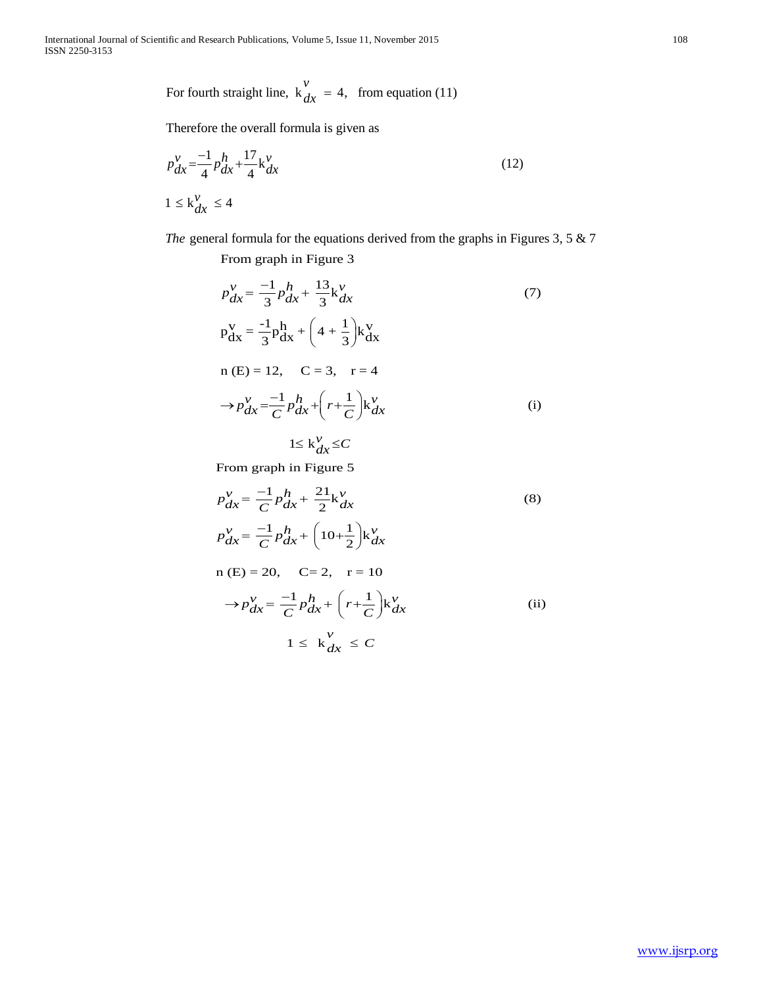For fourth straight line,  $k_{dr} = 4$ , from equation (11) *v*  $\int_{dx}$ 

Therefore the overall formula is given as

$$
p_{dx}^{v} = \frac{-1}{4} p_{dx}^{h} + \frac{17}{4} k_{dx}^{v}
$$
  

$$
1 \le k_{dx}^{v} \le 4
$$
 (12)

*T he* general formula for the equations derived from the graphs in Figures 3, 5 & 7

From graph in Figure 3

$$
p_{dx}^{v} = \frac{-1}{3}p_{dx}^{h} + \frac{13}{3}k_{dx}^{v}
$$
  
\n
$$
p_{dx}^{v} = \frac{-1}{3}p_{dx}^{h} + \left(4 + \frac{1}{3}\right)k_{dx}^{v}
$$
  
\n
$$
n (E) = 12, \quad C = 3, \quad r = 4
$$
  
\n
$$
\rightarrow p_{dx}^{v} = \frac{-1}{C}p_{dx}^{h} + \left(r + \frac{1}{C}\right)k_{dx}^{v}
$$
  
\n
$$
1 \le k_{dx}^{v} \le C
$$
  
\n(i)

From graph in Figure 5

$$
p_{dx}^{\nu} = \frac{-1}{C} p_{dx}^h + \frac{21}{2} k_{dx}^{\nu}
$$
\n
$$
p_{dx}^{\nu} = \frac{-1}{C} p_{dx}^h + \left(10 + \frac{1}{2}\right) k_{dx}^{\nu}
$$
\n
$$
n (E) = 20, \quad C = 2, \quad r = 10
$$
\n
$$
\rightarrow p_{dx}^{\nu} = \frac{-1}{C} p_{dx}^h + \left(r + \frac{1}{C}\right) k_{dx}^{\nu}
$$
\n
$$
1 \le k_{dx}^{\nu} \le C
$$
\n(ii)